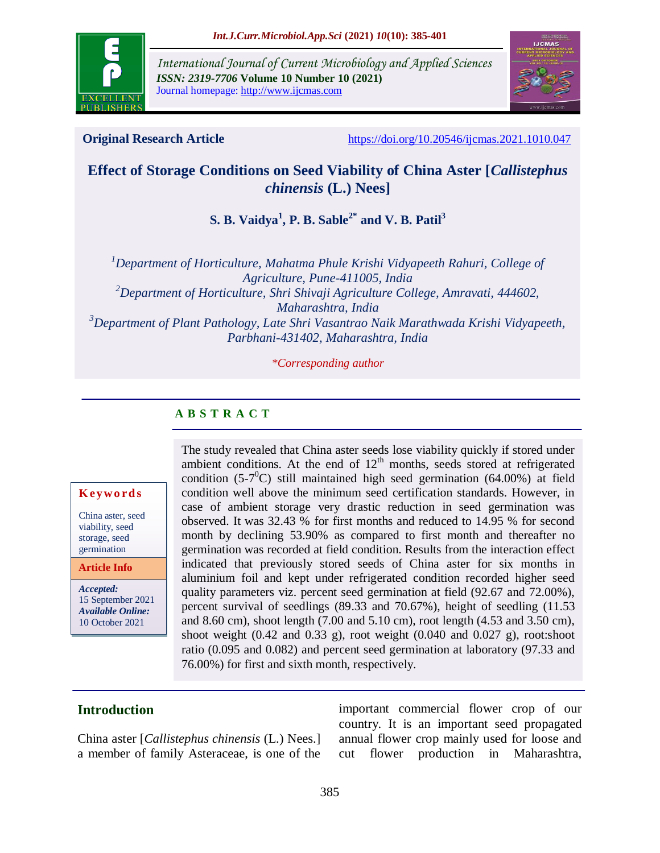

*International Journal of Current Microbiology and Applied Sciences ISSN: 2319-7706* **Volume 10 Number 10 (2021)**  Journal homepage: http://www.ijcmas.com



**Original Research Article** <https://doi.org/10.20546/ijcmas.2021.1010.047>

# **Effect of Storage Conditions on Seed Viability of China Aster [***Callistephus chinensis* **(L.) Nees]**

**S. B. Vaidya<sup>1</sup> , P. B. Sable2\* and V. B. Patil<sup>3</sup>**

*<sup>1</sup>Department of Horticulture, Mahatma Phule Krishi Vidyapeeth Rahuri, College of Agriculture, Pune-411005, India <sup>2</sup>Department of Horticulture, Shri Shivaji Agriculture College, Amravati, 444602, Maharashtra, India <sup>3</sup>Department of Plant Pathology, Late Shri Vasantrao Naik Marathwada Krishi Vidyapeeth, Parbhani-431402, Maharashtra, India*

*\*Corresponding author*

## **A B S T R A C T**

#### **K ey w o rd s**

China aster, seed viability, seed storage, seed germination

**Article Info**

*Accepted:*  15 September 2021 *Available Online:* 10 October 2021

The study revealed that China aster seeds lose viability quickly if stored under ambient conditions. At the end of  $12<sup>th</sup>$  months, seeds stored at refrigerated condition  $(5\text{-}7\textsuperscript{0}C)$  still maintained high seed germination  $(64.00\%)$  at field condition well above the minimum seed certification standards. However, in case of ambient storage very drastic reduction in seed germination was observed. It was 32.43 % for first months and reduced to 14.95 % for second month by declining 53.90% as compared to first month and thereafter no germination was recorded at field condition. Results from the interaction effect indicated that previously stored seeds of China aster for six months in aluminium foil and kept under refrigerated condition recorded higher seed quality parameters viz. percent seed germination at field (92.67 and 72.00%), percent survival of seedlings (89.33 and 70.67%), height of seedling (11.53 and 8.60 cm), shoot length (7.00 and 5.10 cm), root length (4.53 and 3.50 cm), shoot weight  $(0.42 \text{ and } 0.33 \text{ g})$ , root weight  $(0.040 \text{ and } 0.027 \text{ g})$ , root:shoot ratio (0.095 and 0.082) and percent seed germination at laboratory (97.33 and 76.00%) for first and sixth month, respectively.

## **Introduction**

China aster [*Callistephus chinensis* (L.) Nees.] a member of family Asteraceae, is one of the important commercial flower crop of our country. It is an important seed propagated annual flower crop mainly used for loose and cut flower production in Maharashtra,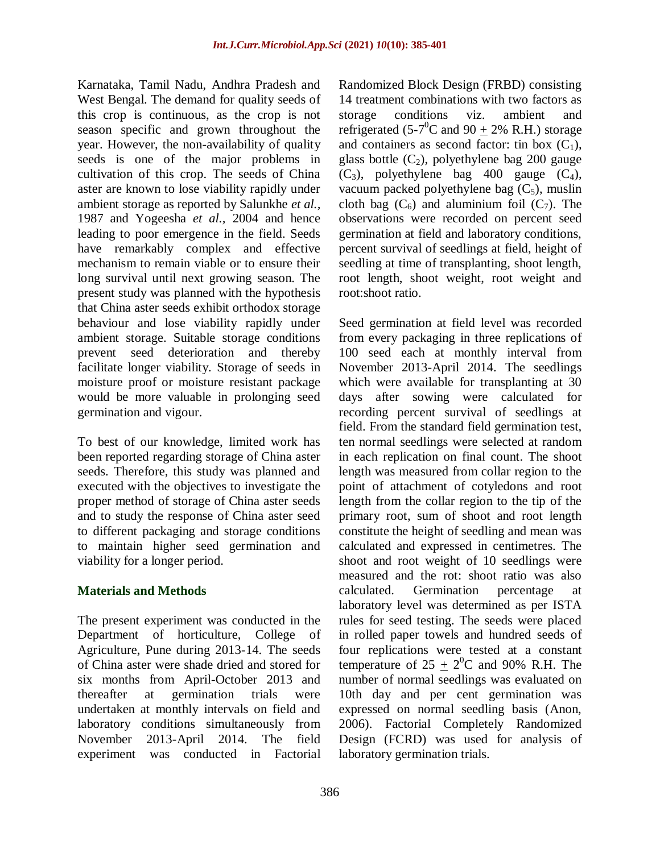Karnataka, Tamil Nadu, Andhra Pradesh and West Bengal. The demand for quality seeds of this crop is continuous, as the crop is not season specific and grown throughout the year. However, the non-availability of quality seeds is one of the major problems in cultivation of this crop. The seeds of China aster are known to lose viability rapidly under ambient storage as reported by Salunkhe *et al.,*  1987 and Yogeesha *et al.,* 2004 and hence leading to poor emergence in the field. Seeds have remarkably complex and effective mechanism to remain viable or to ensure their long survival until next growing season. The present study was planned with the hypothesis that China aster seeds exhibit orthodox storage behaviour and lose viability rapidly under ambient storage. Suitable storage conditions prevent seed deterioration and thereby facilitate longer viability. Storage of seeds in moisture proof or moisture resistant package would be more valuable in prolonging seed germination and vigour.

To best of our knowledge, limited work has been reported regarding storage of China aster seeds. Therefore, this study was planned and executed with the objectives to investigate the proper method of storage of China aster seeds and to study the response of China aster seed to different packaging and storage conditions to maintain higher seed germination and viability for a longer period.

### **Materials and Methods**

The present experiment was conducted in the Department of horticulture, College of Agriculture, Pune during 2013-14. The seeds of China aster were shade dried and stored for six months from April-October 2013 and thereafter at germination trials were undertaken at monthly intervals on field and laboratory conditions simultaneously from November 2013-April 2014. The field experiment was conducted in Factorial

Randomized Block Design (FRBD) consisting 14 treatment combinations with two factors as storage conditions viz. ambient and refrigerated (5-7<sup>0</sup>C and 90  $\pm$  2% R.H.) storage and containers as second factor: tin box  $(C_1)$ , glass bottle  $(C_2)$ , polyethylene bag 200 gauge  $(C_3)$ , polyethylene bag 400 gauge  $(C_4)$ , vacuum packed polyethylene bag  $(C_5)$ , muslin cloth bag  $(C_6)$  and aluminium foil  $(C_7)$ . The observations were recorded on percent seed germination at field and laboratory conditions, percent survival of seedlings at field, height of seedling at time of transplanting, shoot length, root length, shoot weight, root weight and root:shoot ratio.

Seed germination at field level was recorded from every packaging in three replications of 100 seed each at monthly interval from November 2013-April 2014. The seedlings which were available for transplanting at 30 days after sowing were calculated for recording percent survival of seedlings at field. From the standard field germination test, ten normal seedlings were selected at random in each replication on final count. The shoot length was measured from collar region to the point of attachment of cotyledons and root length from the collar region to the tip of the primary root, sum of shoot and root length constitute the height of seedling and mean was calculated and expressed in centimetres. The shoot and root weight of 10 seedlings were measured and the rot: shoot ratio was also calculated. Germination percentage at laboratory level was determined as per ISTA rules for seed testing. The seeds were placed in rolled paper towels and hundred seeds of four replications were tested at a constant temperature of  $25 \pm 2^0C$  and 90% R.H. The number of normal seedlings was evaluated on 10th day and per cent germination was expressed on normal seedling basis (Anon, 2006). Factorial Completely Randomized Design (FCRD) was used for analysis of laboratory germination trials.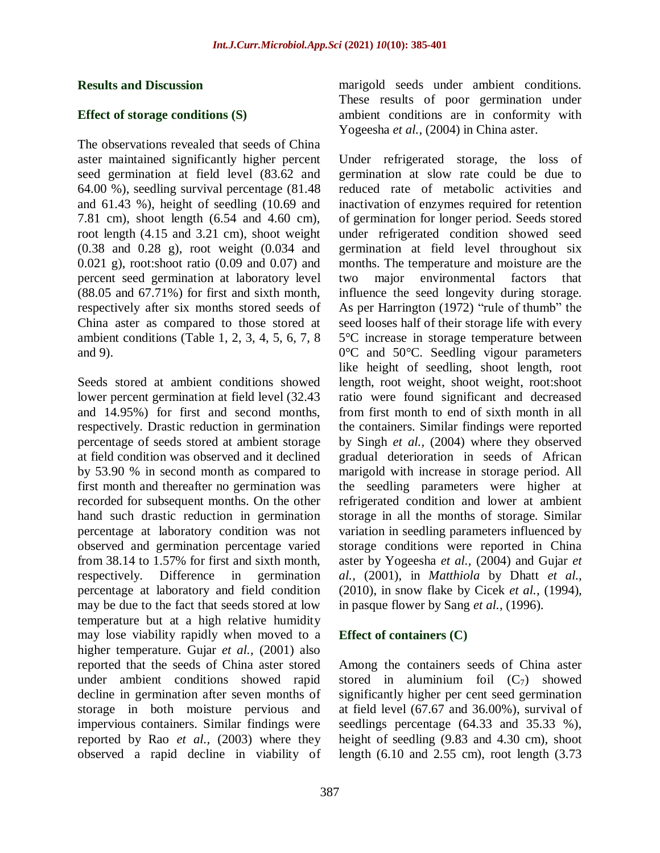#### **Results and Discussion**

#### **Effect of storage conditions (S)**

The observations revealed that seeds of China aster maintained significantly higher percent seed germination at field level (83.62 and 64.00 %), seedling survival percentage (81.48 and 61.43 %), height of seedling (10.69 and 7.81 cm), shoot length (6.54 and 4.60 cm), root length (4.15 and 3.21 cm), shoot weight (0.38 and 0.28 g), root weight (0.034 and 0.021 g), root:shoot ratio (0.09 and 0.07) and percent seed germination at laboratory level  $(88.05$  and  $67.71\%)$  for first and sixth month. respectively after six months stored seeds of China aster as compared to those stored at ambient conditions (Table 1, 2, 3, 4, 5, 6, 7, 8 and 9).

Seeds stored at ambient conditions showed lower percent germination at field level (32.43 and 14.95%) for first and second months, respectively. Drastic reduction in germination percentage of seeds stored at ambient storage at field condition was observed and it declined by 53.90 % in second month as compared to first month and thereafter no germination was recorded for subsequent months. On the other hand such drastic reduction in germination percentage at laboratory condition was not observed and germination percentage varied from 38.14 to 1.57% for first and sixth month, respectively. Difference in germination percentage at laboratory and field condition may be due to the fact that seeds stored at low temperature but at a high relative humidity may lose viability rapidly when moved to a higher temperature. Gujar *et al.,* (2001) also reported that the seeds of China aster stored under ambient conditions showed rapid decline in germination after seven months of storage in both moisture pervious and impervious containers. Similar findings were reported by Rao *et al.,* (2003) where they observed a rapid decline in viability of marigold seeds under ambient conditions. These results of poor germination under ambient conditions are in conformity with Yogeesha *et al.*, (2004) in China aster.

Under refrigerated storage, the loss of germination at slow rate could be due to reduced rate of metabolic activities and inactivation of enzymes required for retention of germination for longer period. Seeds stored under refrigerated condition showed seed germination at field level throughout six months. The temperature and moisture are the two major environmental factors that influence the seed longevity during storage. As per Harrington (1972) "rule of thumb" the seed looses half of their storage life with every 5°C increase in storage temperature between 0°C and 50°C. Seedling vigour parameters like height of seedling, shoot length, root length, root weight, shoot weight, root:shoot ratio were found significant and decreased from first month to end of sixth month in all the containers. Similar findings were reported by Singh *et al.,* (2004) where they observed gradual deterioration in seeds of African marigold with increase in storage period. All the seedling parameters were higher at refrigerated condition and lower at ambient storage in all the months of storage. Similar variation in seedling parameters influenced by storage conditions were reported in China aster by Yogeesha *et al.,* (2004) and Gujar *et al.,* (2001), in *Matthiola* by Dhatt *et al.,* (2010), in snow flake by Cicek *et al.,* (1994), in pasque flower by Sang *et al.,* (1996).

#### **Effect of containers (C)**

Among the containers seeds of China aster stored in aluminium foil  $(C_7)$  showed significantly higher per cent seed germination at field level (67.67 and 36.00%), survival of seedlings percentage (64.33 and 35.33 %), height of seedling (9.83 and 4.30 cm), shoot length (6.10 and 2.55 cm), root length (3.73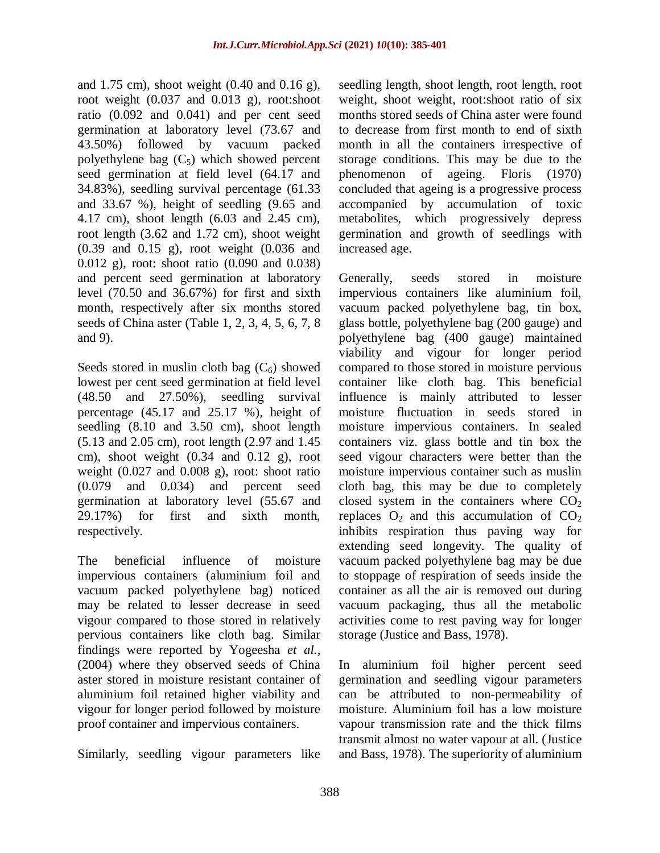and 1.75 cm), shoot weight (0.40 and 0.16 g), root weight  $(0.037 \text{ and } 0.013 \text{ g})$ , root:shoot ratio (0.092 and 0.041) and per cent seed germination at laboratory level (73.67 and 43.50%) followed by vacuum packed polyethylene bag  $(C_5)$  which showed percent seed germination at field level (64.17 and 34.83%), seedling survival percentage (61.33 and 33.67 %), height of seedling (9.65 and 4.17 cm), shoot length (6.03 and 2.45 cm), root length (3.62 and 1.72 cm), shoot weight (0.39 and 0.15 g), root weight (0.036 and 0.012 g), root: shoot ratio (0.090 and 0.038) and percent seed germination at laboratory level (70.50 and 36.67%) for first and sixth month, respectively after six months stored seeds of China aster (Table 1, 2, 3, 4, 5, 6, 7, 8 and 9).

Seeds stored in muslin cloth bag  $(C_6)$  showed lowest per cent seed germination at field level (48.50 and 27.50%), seedling survival percentage (45.17 and 25.17 %), height of seedling (8.10 and 3.50 cm), shoot length (5.13 and 2.05 cm), root length (2.97 and 1.45 cm), shoot weight  $(0.34 \text{ and } 0.12 \text{ g})$ , root weight  $(0.027$  and  $0.008$  g), root: shoot ratio (0.079 and 0.034) and percent seed germination at laboratory level (55.67 and 29.17%) for first and sixth month, respectively.

The beneficial influence of moisture impervious containers (aluminium foil and vacuum packed polyethylene bag) noticed may be related to lesser decrease in seed vigour compared to those stored in relatively pervious containers like cloth bag. Similar findings were reported by Yogeesha *et al.,* (2004) where they observed seeds of China aster stored in moisture resistant container of aluminium foil retained higher viability and vigour for longer period followed by moisture proof container and impervious containers.

Similarly, seedling vigour parameters like

seedling length, shoot length, root length, root weight, shoot weight, root:shoot ratio of six months stored seeds of China aster were found to decrease from first month to end of sixth month in all the containers irrespective of storage conditions. This may be due to the phenomenon of ageing. Floris (1970) concluded that ageing is a progressive process accompanied by accumulation of toxic metabolites, which progressively depress germination and growth of seedlings with increased age.

Generally, seeds stored in moisture impervious containers like aluminium foil, vacuum packed polyethylene bag, tin box, glass bottle, polyethylene bag (200 gauge) and polyethylene bag (400 gauge) maintained viability and vigour for longer period compared to those stored in moisture pervious container like cloth bag*.* This beneficial influence is mainly attributed to lesser moisture fluctuation in seeds stored in moisture impervious containers. In sealed containers viz. glass bottle and tin box the seed vigour characters were better than the moisture impervious container such as muslin cloth bag, this may be due to completely closed system in the containers where  $CO<sub>2</sub>$ replaces  $O_2$  and this accumulation of  $CO_2$ inhibits respiration thus paving way for extending seed longevity. The quality of vacuum packed polyethylene bag may be due to stoppage of respiration of seeds inside the container as all the air is removed out during vacuum packaging, thus all the metabolic activities come to rest paving way for longer storage (Justice and Bass, 1978).

In aluminium foil higher percent seed germination and seedling vigour parameters can be attributed to non-permeability of moisture. Aluminium foil has a low moisture vapour transmission rate and the thick films transmit almost no water vapour at all. (Justice and Bass, 1978). The superiority of aluminium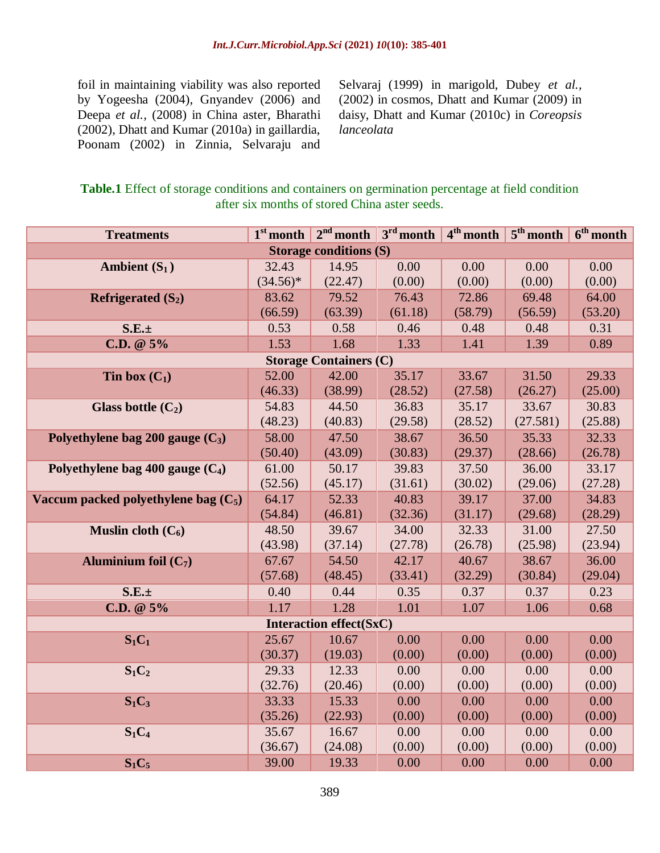foil in maintaining viability was also reported by Yogeesha (2004), Gnyandev (2006) and Deepa *et al.,* (2008) in China aster, Bharathi (2002), Dhatt and Kumar (2010a) in gaillardia, Poonam (2002) in Zinnia, Selvaraju and Selvaraj (1999) in marigold, Dubey *et al.,* (2002) in cosmos, Dhatt and Kumar (2009) in daisy, Dhatt and Kumar (2010c) in *Coreopsis lanceolata*

**Table.1** Effect of storage conditions and containers on germination percentage at field condition after six months of stored China aster seeds.

| <b>Treatments</b>                      | $1st$ month | $2nd$ month                    | $3rd$ month | $4th$ month | $5^{\text{th}}$ month | $6th$ month |
|----------------------------------------|-------------|--------------------------------|-------------|-------------|-----------------------|-------------|
|                                        |             | <b>Storage conditions (S)</b>  |             |             |                       |             |
| Ambient $(S_1)$                        | 32.43       | 14.95                          | 0.00        | 0.00        | 0.00                  | 0.00        |
|                                        | $(34.56)^*$ | (22.47)                        | (0.00)      | (0.00)      | (0.00)                | (0.00)      |
| Refrigerated $(S_2)$                   | 83.62       | 79.52                          | 76.43       | 72.86       | 69.48                 | 64.00       |
|                                        | (66.59)     | (63.39)                        | (61.18)     | (58.79)     | (56.59)               | (53.20)     |
| $S.E. \pm$                             | 0.53        | 0.58                           | 0.46        | 0.48        | 0.48                  | 0.31        |
| $C.D. @ 5\%$                           | 1.53        | 1.68                           | 1.33        | 1.41        | 1.39                  | 0.89        |
|                                        |             | <b>Storage Containers (C)</b>  |             |             |                       |             |
| Tin box $(C_1)$                        | 52.00       | 42.00                          | 35.17       | 33.67       | 31.50                 | 29.33       |
|                                        | (46.33)     | (38.99)                        | (28.52)     | (27.58)     | (26.27)               | (25.00)     |
| Glass bottle $(C_2)$                   | 54.83       | 44.50                          | 36.83       | 35.17       | 33.67                 | 30.83       |
|                                        | (48.23)     | (40.83)                        | (29.58)     | (28.52)     | (27.581)              | (25.88)     |
| Polyethylene bag 200 gauge $(C_3)$     | 58.00       | 47.50                          | 38.67       | 36.50       | 35.33                 | 32.33       |
|                                        | (50.40)     | (43.09)                        | (30.83)     | (29.37)     | (28.66)               | (26.78)     |
| Polyethylene bag 400 gauge $(C_4)$     | 61.00       | 50.17                          | 39.83       | 37.50       | 36.00                 | 33.17       |
|                                        | (52.56)     | (45.17)                        | (31.61)     | (30.02)     | (29.06)               | (27.28)     |
| Vaccum packed polyethylene bag $(C_5)$ | 64.17       | 52.33                          | 40.83       | 39.17       | 37.00                 | 34.83       |
|                                        | (54.84)     | (46.81)                        | (32.36)     | (31.17)     | (29.68)               | (28.29)     |
| Muslin cloth $(C_6)$                   | 48.50       | 39.67                          | 34.00       | 32.33       | 31.00                 | 27.50       |
|                                        | (43.98)     | (37.14)                        | (27.78)     | (26.78)     | (25.98)               | (23.94)     |
| Aluminium foil $(C_7)$                 | 67.67       | 54.50                          | 42.17       | 40.67       | 38.67                 | 36.00       |
|                                        | (57.68)     | (48.45)                        | (33.41)     | (32.29)     | (30.84)               | (29.04)     |
| $S.E. \pm$                             | 0.40        | 0.44                           | 0.35        | 0.37        | 0.37                  | 0.23        |
| $C.D. @ 5\%$                           | 1.17        | 1.28                           | 1.01        | 1.07        | 1.06                  | 0.68        |
|                                        |             | <b>Interaction effect(SxC)</b> |             |             |                       |             |
| $S_1C_1$                               | 25.67       | 10.67                          | 0.00        | 0.00        | 0.00                  | 0.00        |
|                                        | (30.37)     | (19.03)                        | (0.00)      | (0.00)      | (0.00)                | (0.00)      |
| $S_1C_2$                               | 29.33       | 12.33                          | 0.00        | 0.00        | 0.00                  | 0.00        |
|                                        | (32.76)     | (20.46)                        | (0.00)      | (0.00)      | (0.00)                | (0.00)      |
| $S_1C_3$                               | 33.33       | 15.33                          | 0.00        | 0.00        | 0.00                  | 0.00        |
|                                        | (35.26)     | (22.93)                        | (0.00)      | (0.00)      | (0.00)                | (0.00)      |
| $S_1C_4$                               | 35.67       | 16.67                          | 0.00        | 0.00        | 0.00                  | 0.00        |
|                                        | (36.67)     | (24.08)                        | (0.00)      | (0.00)      | (0.00)                | (0.00)      |
| $S_1C_5$                               | 39.00       | 19.33                          | 0.00        | 0.00        | 0.00                  | 0.00        |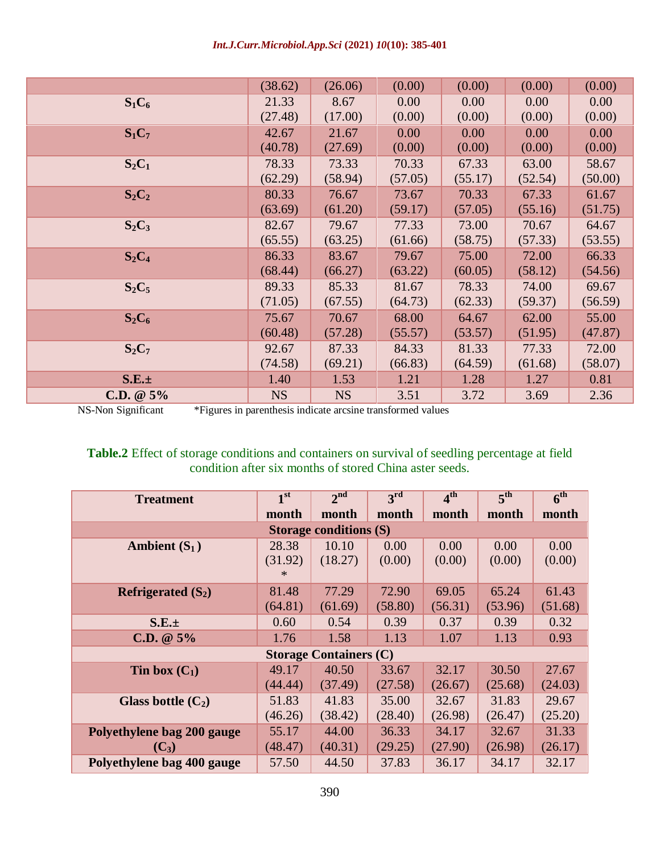*Int.J.Curr.Microbiol.App.Sci* **(2021)** *10***(10): 385-401**

|              | (38.62)   | (26.06)   | (0.00)  | (0.00)  | (0.00)  | (0.00)  |
|--------------|-----------|-----------|---------|---------|---------|---------|
| $S_1C_6$     | 21.33     | 8.67      | 0.00    | 0.00    | 0.00    | 0.00    |
|              | (27.48)   | (17.00)   | (0.00)  | (0.00)  | (0.00)  | (0.00)  |
| $S_1C_7$     | 42.67     | 21.67     | 0.00    | 0.00    | 0.00    | 0.00    |
|              | (40.78)   | (27.69)   | (0.00)  | (0.00)  | (0.00)  | (0.00)  |
| $S_2C_1$     | 78.33     | 73.33     | 70.33   | 67.33   | 63.00   | 58.67   |
|              | (62.29)   | (58.94)   | (57.05) | (55.17) | (52.54) | (50.00) |
| $S_2C_2$     | 80.33     | 76.67     | 73.67   | 70.33   | 67.33   | 61.67   |
|              | (63.69)   | (61.20)   | (59.17) | (57.05) | (55.16) | (51.75) |
| $S_2C_3$     | 82.67     | 79.67     | 77.33   | 73.00   | 70.67   | 64.67   |
|              | (65.55)   | (63.25)   | (61.66) | (58.75) | (57.33) | (53.55) |
| $S_2C_4$     | 86.33     | 83.67     | 79.67   | 75.00   | 72.00   | 66.33   |
|              | (68.44)   | (66.27)   | (63.22) | (60.05) | (58.12) | (54.56) |
| $S_2C_5$     | 89.33     | 85.33     | 81.67   | 78.33   | 74.00   | 69.67   |
|              | (71.05)   | (67.55)   | (64.73) | (62.33) | (59.37) | (56.59) |
| $S_2C_6$     | 75.67     | 70.67     | 68.00   | 64.67   | 62.00   | 55.00   |
|              | (60.48)   | (57.28)   | (55.57) | (53.57) | (51.95) | (47.87) |
| $S_2C_7$     | 92.67     | 87.33     | 84.33   | 81.33   | 77.33   | 72.00   |
|              | (74.58)   | (69.21)   | (66.83) | (64.59) | (61.68) | (58.07) |
| $S.E. \pm$   | 1.40      | 1.53      | 1.21    | 1.28    | 1.27    | 0.81    |
| $C.D. @ 5\%$ | <b>NS</b> | <b>NS</b> | 3.51    | 3.72    | 3.69    | 2.36    |

NS-Non Significant \*Figures in parenthesis indicate arcsine transformed values

## **Table.2** Effect of storage conditions and containers on survival of seedling percentage at field condition after six months of stored China aster seeds.

| <b>Treatment</b>              | 1 <sup>st</sup>  | 2 <sup>nd</sup>               | 3 <sup>rd</sup>  | 4 <sup>th</sup>  | 5 <sup>th</sup>  | 6 <sup>th</sup>  |  |  |  |  |
|-------------------------------|------------------|-------------------------------|------------------|------------------|------------------|------------------|--|--|--|--|
|                               | month            | month                         | month            | month            | month            | month            |  |  |  |  |
| <b>Storage conditions (S)</b> |                  |                               |                  |                  |                  |                  |  |  |  |  |
| Ambient $(S_1)$               | 28.38            | 10.10                         | 0.00             | 0.00             | 0.00             | 0.00             |  |  |  |  |
|                               | (31.92)<br>$*$   | (18.27)                       | (0.00)           | (0.00)           | (0.00)           | (0.00)           |  |  |  |  |
| Refrigerated $(S_2)$          | 81.48<br>(64.81) | 77.29<br>(61.69)              | 72.90<br>(58.80) | 69.05<br>(56.31) | 65.24<br>(53.96) | 61.43<br>(51.68) |  |  |  |  |
| S.E.±                         | 0.60             | 0.54                          | 0.39             | 0.37             | 0.39             | 0.32             |  |  |  |  |
| $C.D. @ 5\%$                  | 1.76             | 1.58                          | 1.13             | 1.07             | 1.13             | 0.93             |  |  |  |  |
|                               |                  | <b>Storage Containers (C)</b> |                  |                  |                  |                  |  |  |  |  |
| Tin box $(C_1)$               | 49.17            | 40.50                         | 33.67            | 32.17            | 30.50            | 27.67            |  |  |  |  |
|                               | (44.44)          | (37.49)                       | (27.58)          | (26.67)          | (25.68)          | (24.03)          |  |  |  |  |
| Glass bottle $(C_2)$          | 51.83            | 41.83                         | 35.00            | 32.67            | 31.83            | 29.67            |  |  |  |  |
|                               | (46.26)          | (38.42)                       | (28.40)          | (26.98)          | (26.47)          | (25.20)          |  |  |  |  |
| Polyethylene bag 200 gauge    | 55.17            | 44.00                         | 36.33            | 34.17            | 32.67            | 31.33            |  |  |  |  |
| $(C_3)$                       | (48.47)          | (40.31)                       | (29.25)          | (27.90)          | (26.98)          | (26.17)          |  |  |  |  |
| Polyethylene bag 400 gauge    | 57.50            | 44.50                         | 37.83            | 36.17            | 34.17            | 32.17            |  |  |  |  |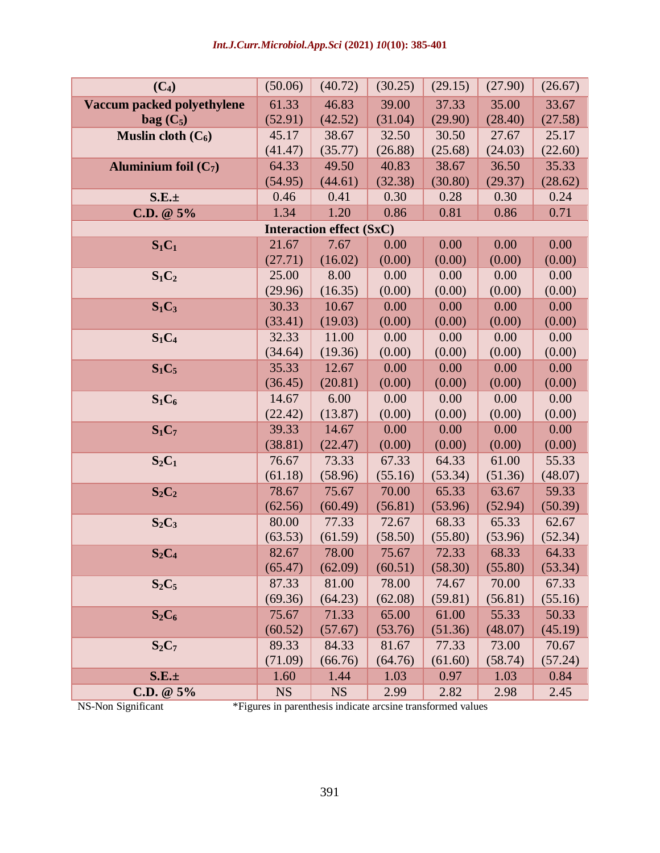| $(C_4)$                    | (50.06)   | (40.72)                         | (30.25) | (29.15) | (27.90) | (26.67) |
|----------------------------|-----------|---------------------------------|---------|---------|---------|---------|
| Vaccum packed polyethylene | 61.33     | 46.83                           | 39.00   | 37.33   | 35.00   | 33.67   |
| $bag (C_5)$                | (52.91)   | (42.52)                         | (31.04) | (29.90) | (28.40) | (27.58) |
| Muslin cloth $(C_6)$       | 45.17     | 38.67                           | 32.50   | 30.50   | 27.67   | 25.17   |
|                            | (41.47)   | (35.77)                         | (26.88) | (25.68) | (24.03) | (22.60) |
| Aluminium foil $(C_7)$     | 64.33     | 49.50                           | 40.83   | 38.67   | 36.50   | 35.33   |
|                            | (54.95)   | (44.61)                         | (32.38) | (30.80) | (29.37) | (28.62) |
| $S.E. \pm$                 | 0.46      | 0.41                            | 0.30    | 0.28    | 0.30    | 0.24    |
| $C.D. @ 5\%$               | 1.34      | 1.20                            | 0.86    | 0.81    | 0.86    | 0.71    |
|                            |           | <b>Interaction effect (SxC)</b> |         |         |         |         |
| $S_1C_1$                   | 21.67     | 7.67                            | 0.00    | 0.00    | 0.00    | 0.00    |
|                            | (27.71)   | (16.02)                         | (0.00)  | (0.00)  | (0.00)  | (0.00)  |
| $S_1C_2$                   | 25.00     | 8.00                            | 0.00    | 0.00    | 0.00    | 0.00    |
|                            | (29.96)   | (16.35)                         | (0.00)  | (0.00)  | (0.00)  | (0.00)  |
| $S_1C_3$                   | 30.33     | 10.67                           | 0.00    | 0.00    | 0.00    | 0.00    |
|                            | (33.41)   | (19.03)                         | (0.00)  | (0.00)  | (0.00)  | (0.00)  |
| $S_1C_4$                   | 32.33     | 11.00                           | 0.00    | 0.00    | 0.00    | 0.00    |
|                            | (34.64)   | (19.36)                         | (0.00)  | (0.00)  | (0.00)  | (0.00)  |
| $S_1C_5$                   | 35.33     | 12.67                           | 0.00    | 0.00    | 0.00    | 0.00    |
|                            | (36.45)   | (20.81)                         | (0.00)  | (0.00)  | (0.00)  | (0.00)  |
| $S_1C_6$                   | 14.67     | 6.00                            | 0.00    | 0.00    | 0.00    | 0.00    |
|                            | (22.42)   | (13.87)                         | (0.00)  | (0.00)  | (0.00)  | (0.00)  |
| $S_1C_7$                   | 39.33     | 14.67                           | 0.00    | 0.00    | 0.00    | 0.00    |
|                            | (38.81)   | (22.47)                         | (0.00)  | (0.00)  | (0.00)  | (0.00)  |
| $S_2C_1$                   | 76.67     | 73.33                           | 67.33   | 64.33   | 61.00   | 55.33   |
|                            | (61.18)   | (58.96)                         | (55.16) | (53.34) | (51.36) | (48.07) |
| $S_2C_2$                   | 78.67     | 75.67                           | 70.00   | 65.33   | 63.67   | 59.33   |
|                            | (62.56)   | (60.49)                         | (56.81) | (53.96) | (52.94) | (50.39) |
| $S_2C_3$                   | 80.00     | 77.33                           | 72.67   | 68.33   | 65.33   | 62.67   |
|                            | (63.53)   | (61.59)                         | (58.50) | (55.80) | (53.96) | (52.34) |
| $S_2C_4$                   | 82.67     | 78.00                           | 75.67   | 72.33   | 68.33   | 64.33   |
|                            | (65.47)   | (62.09)                         | (60.51) | (58.30) | (55.80) | (53.34) |
| $S_2C_5$                   | 87.33     | 81.00                           | 78.00   | 74.67   | 70.00   | 67.33   |
|                            | (69.36)   | (64.23)                         | (62.08) | (59.81) | (56.81) | (55.16) |
| $S_2C_6$                   | 75.67     | 71.33                           | 65.00   | 61.00   | 55.33   | 50.33   |
|                            | (60.52)   | (57.67)                         | (53.76) | (51.36) | (48.07) | (45.19) |
| $S_2C_7$                   | 89.33     | 84.33                           | 81.67   | 77.33   | 73.00   | 70.67   |
|                            | (71.09)   | (66.76)                         | (64.76) | (61.60) | (58.74) | (57.24) |
| $S.E. \pm$                 | 1.60      | 1.44                            | 1.03    | 0.97    | 1.03    | 0.84    |
| $C.D. @ 5\%$               | <b>NS</b> | <b>NS</b>                       | 2.99    | 2.82    | 2.98    | 2.45    |

NS-Non Significant \*Figures in parenthesis indicate arcsine transformed values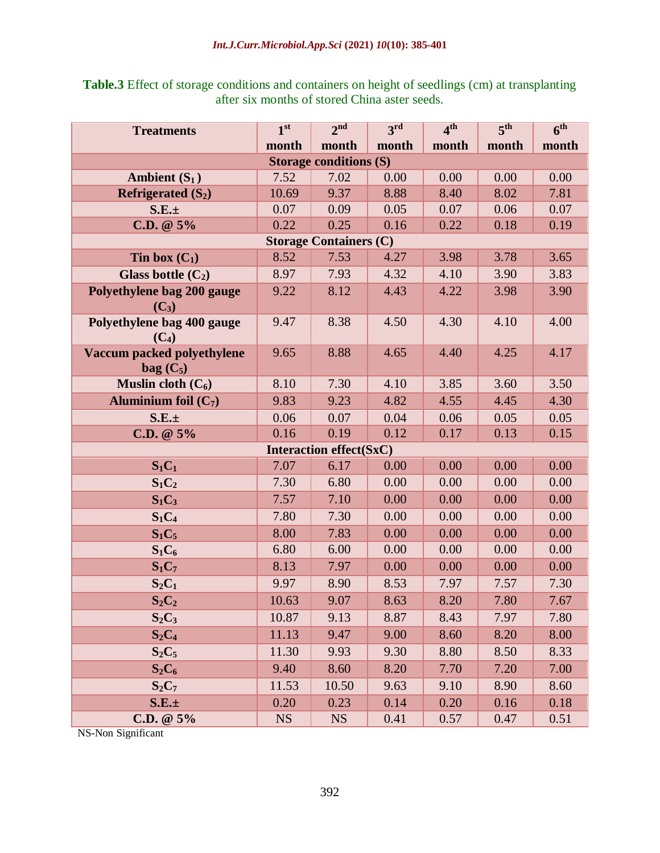|  | <b>Table.3</b> Effect of storage conditions and containers on height of seedlings (cm) at transplanting |  |
|--|---------------------------------------------------------------------------------------------------------|--|
|  | after six months of stored China aster seeds.                                                           |  |

| <b>Treatments</b>          | 1 <sup>st</sup> | 2 <sub>nd</sub>                        | 3 <sup>rd</sup> | 4 <sup>th</sup> | 5 <sup>th</sup> | 6 <sup>th</sup> |
|----------------------------|-----------------|----------------------------------------|-----------------|-----------------|-----------------|-----------------|
|                            | month           | month                                  | month           | month           | month           | month           |
|                            |                 | <b>Storage conditions (S)</b>          |                 |                 |                 |                 |
| Ambient $(S_1)$            | 7.52            | 7.02                                   | 0.00            | 0.00            | 0.00            | 0.00            |
| Refrigerated $(S_2)$       | 10.69           | 9.37                                   | 8.88            | 8.40            | 8.02            | 7.81            |
| $S.E. \pm$                 | 0.07            | 0.09                                   | 0.05            | 0.07            | 0.06            | 0.07            |
| $C.D. @ 5\%$               | 0.22            | 0.25                                   | 0.16            | 0.22            | 0.18            | 0.19            |
|                            |                 | <b>Storage Containers (C)</b>          |                 |                 |                 |                 |
| Tin box $(C_1)$            | 8.52            | 7.53                                   | 4.27            | 3.98            | 3.78            | 3.65            |
| Glass bottle $(C_2)$       | 8.97            | 7.93                                   | 4.32            | 4.10            | 3.90            | 3.83            |
| Polyethylene bag 200 gauge | 9.22            | 8.12                                   | 4.43            | 4.22            | 3.98            | 3.90            |
| $(C_3)$                    |                 |                                        |                 |                 |                 |                 |
| Polyethylene bag 400 gauge | 9.47            | 8.38                                   | 4.50            | 4.30            | 4.10            | 4.00            |
| $(C_4)$                    |                 |                                        |                 |                 |                 |                 |
| Vaccum packed polyethylene | 9.65            | 8.88                                   | 4.65            | 4.40            | 4.25            | 4.17            |
| $bag (C_5)$                | 8.10            |                                        |                 |                 |                 |                 |
| Muslin cloth $(C_6)$       |                 | 7.30                                   | 4.10            | 3.85            | 3.60            | 3.50            |
| Aluminium foil $(C_7)$     | 9.83            | 9.23                                   | 4.82            | 4.55            | 4.45            | 4.30            |
| $S.E. \pm$                 | 0.06            | 0.07                                   | 0.04            | 0.06            | 0.05            | 0.05            |
| C.D. $@5\%$                | 0.16            | 0.19                                   | 0.12            | 0.17            | 0.13            | 0.15            |
|                            | 7.07            | <b>Interaction effect(SxC)</b><br>6.17 | 0.00            | 0.00            | 0.00            | 0.00            |
| $S_1C_1$                   |                 |                                        |                 |                 |                 |                 |
| $S_1C_2$                   | 7.30            | 6.80                                   | 0.00            | 0.00            | 0.00            | 0.00            |
| $S_1C_3$                   | 7.57            | 7.10                                   | 0.00            | 0.00            | 0.00            | 0.00            |
| $S_1C_4$                   | 7.80            | 7.30                                   | 0.00            | 0.00            | 0.00            | 0.00            |
| $S_1C_5$                   | 8.00            | 7.83                                   | 0.00            | 0.00            | 0.00            | 0.00            |
| $S_1C_6$                   | 6.80            | 6.00                                   | 0.00            | 0.00            | 0.00            | 0.00            |
| $S_1C_7$                   | 8.13            | 7.97                                   | 0.00            | 0.00            | 0.00            | 0.00            |
| $S_2C_1$                   | 9.97            | 8.90                                   | 8.53            | 7.97            | 7.57            | 7.30            |
| $S_2C_2$                   | 10.63           | 9.07                                   | 8.63            | 8.20            | 7.80            | 7.67            |
| $S_2C_3$                   | 10.87           | 9.13                                   | 8.87            | 8.43            | 7.97            | 7.80            |
| $S_2C_4$                   | 11.13           | 9.47                                   | 9.00            | 8.60            | 8.20            | 8.00            |
| $S_2C_5$                   | 11.30           | 9.93                                   | 9.30            | 8.80            | 8.50            | 8.33            |
| $S_2C_6$                   | 9.40            | 8.60                                   | 8.20            | 7.70            | 7.20            | 7.00            |
| $S_2C_7$                   | 11.53           | 10.50                                  | 9.63            | 9.10            | 8.90            | 8.60            |
| $S.E. \pm$                 | 0.20            | 0.23                                   | 0.14            | 0.20            | 0.16            | 0.18            |
| $C.D. @ 5\%$               | <b>NS</b>       | <b>NS</b>                              | 0.41            | 0.57            | 0.47            | 0.51            |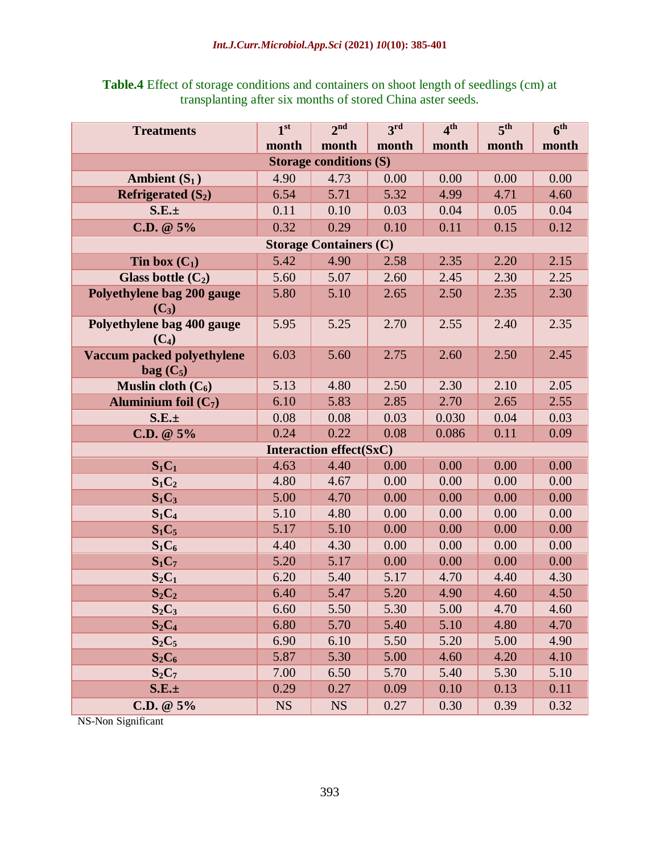| <b>Table.4</b> Effect of storage conditions and containers on shoot length of seedlings (cm) at |
|-------------------------------------------------------------------------------------------------|
| transplanting after six months of stored China aster seeds.                                     |

| <b>Treatments</b>                     | 1 <sup>st</sup> | 2 <sup>nd</sup>                | 3 <sup>rd</sup> | 4 <sup>th</sup> | 5 <sup>th</sup> | 6 <sup>th</sup> |  |  |
|---------------------------------------|-----------------|--------------------------------|-----------------|-----------------|-----------------|-----------------|--|--|
|                                       | month           | month                          | month           | month           | month           | month           |  |  |
| <b>Storage conditions (S)</b>         |                 |                                |                 |                 |                 |                 |  |  |
| Ambient $(S_1)$                       | 4.90            | 4.73                           | 0.00            | 0.00            | 0.00            | 0.00            |  |  |
| Refrigerated $(S_2)$                  | 6.54            | 5.71                           | 5.32            | 4.99            | 4.71            | 4.60            |  |  |
| $S.E. \pm$                            | 0.11            | 0.10                           | 0.03            | 0.04            | 0.05            | 0.04            |  |  |
| $C.D. @ 5\%$                          | 0.32            | 0.29                           | 0.10            | 0.11            | 0.15            | 0.12            |  |  |
| <b>Storage Containers (C)</b>         |                 |                                |                 |                 |                 |                 |  |  |
| Tin box $(C_1)$                       | 5.42            | 4.90                           | 2.58            | 2.35            | 2.20            | 2.15            |  |  |
| Glass bottle $(C_2)$                  | 5.60            | 5.07                           | 2.60            | 2.45            | 2.30            | 2.25            |  |  |
| Polyethylene bag 200 gauge            | 5.80            | 5.10                           | 2.65            | 2.50            | 2.35            | 2.30            |  |  |
| $(C_3)$                               |                 |                                |                 |                 |                 |                 |  |  |
| Polyethylene bag 400 gauge<br>$(C_4)$ | 5.95            | 5.25                           | 2.70            | 2.55            | 2.40            | 2.35            |  |  |
| <b>Vaccum packed polyethylene</b>     | 6.03            | 5.60                           | 2.75            | 2.60            | 2.50            | 2.45            |  |  |
| $bag (C_5)$                           |                 |                                |                 |                 |                 |                 |  |  |
| Muslin cloth $(C_6)$                  | 5.13            | 4.80                           | 2.50            | 2.30            | 2.10            | 2.05            |  |  |
| Aluminium foil $(C_7)$                | 6.10            | 5.83                           | 2.85            | 2.70            | 2.65            | 2.55            |  |  |
| $S.E. \pm$                            | 0.08            | 0.08                           | 0.03            | 0.030           | 0.04            | 0.03            |  |  |
| C.D. $@5\%$                           | 0.24            | 0.22                           | 0.08            | 0.086           | 0.11            | 0.09            |  |  |
|                                       |                 | <b>Interaction effect(SxC)</b> |                 |                 |                 |                 |  |  |
| $S_1C_1$                              | 4.63            | 4.40                           | 0.00            | 0.00            | 0.00            | 0.00            |  |  |
| $S_1C_2$                              | 4.80            | 4.67                           | 0.00            | 0.00            | 0.00            | 0.00            |  |  |
| $S_1C_3$                              | 5.00            | 4.70                           | 0.00            | 0.00            | 0.00            | 0.00            |  |  |
| $S_1C_4$                              | 5.10            | 4.80                           | 0.00            | 0.00            | 0.00            | 0.00            |  |  |
| $S_1C_5$                              | 5.17            | 5.10                           | 0.00            | 0.00            | 0.00            | 0.00            |  |  |
| $S_1C_6$                              | 4.40            | 4.30                           | 0.00            | 0.00            | 0.00            | 0.00            |  |  |
| $S_1C_7$                              | 5.20            | 5.17                           | 0.00            | 0.00            | 0.00            | 0.00            |  |  |
| $S_2C_1$                              | 6.20            | 5.40                           | 5.17            | 4.70            | 4.40            | 4.30            |  |  |
| $S_2C_2$                              | 6.40            | 5.47                           | 5.20            | 4.90            | 4.60            | 4.50            |  |  |
| $S_2C_3$                              | 6.60            | 5.50                           | 5.30            | 5.00            | 4.70            | 4.60            |  |  |
| $S_2C_4$                              | 6.80            | 5.70                           | 5.40            | 5.10            | 4.80            | 4.70            |  |  |
| $S_2C_5$                              | 6.90            | 6.10                           | 5.50            | 5.20            | 5.00            | 4.90            |  |  |
| $S_2C_6$                              | 5.87            | 5.30                           | 5.00            | 4.60            | 4.20            | 4.10            |  |  |
| $S_2C_7$                              | 7.00            | 6.50                           | 5.70            | 5.40            | 5.30            | 5.10            |  |  |
| S.E.±                                 | 0.29            | 0.27                           | 0.09            | 0.10            | 0.13            | 0.11            |  |  |
| C.D. @ 5%                             | <b>NS</b>       | <b>NS</b>                      | 0.27            | 0.30            | 0.39            | 0.32            |  |  |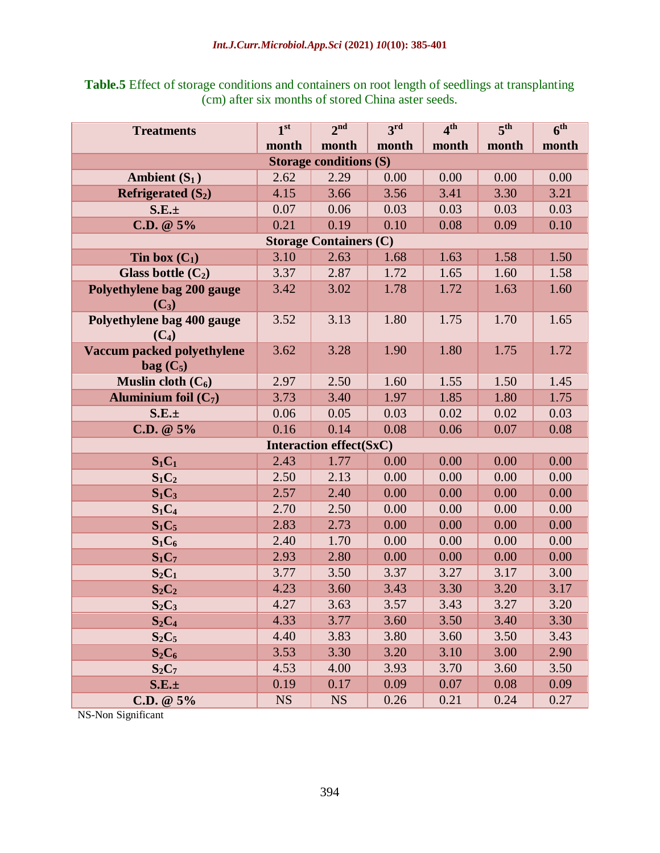## **Table.5** Effect of storage conditions and containers on root length of seedlings at transplanting (cm) after six months of stored China aster seeds.

| <b>Treatments</b>                     | 1 <sup>st</sup> | 2 <sub>nd</sub>                | 3 <sup>rd</sup> | 4 <sup>th</sup> | 5 <sup>th</sup> | 6 <sup>th</sup> |  |  |  |
|---------------------------------------|-----------------|--------------------------------|-----------------|-----------------|-----------------|-----------------|--|--|--|
|                                       | month           | month                          | month           | month           | month           | month           |  |  |  |
| <b>Storage conditions (S)</b>         |                 |                                |                 |                 |                 |                 |  |  |  |
| Ambient $(S_1)$                       | 2.62            | 2.29                           | 0.00            | 0.00            | 0.00            | 0.00            |  |  |  |
| Refrigerated $(S_2)$                  | 4.15            | 3.66                           | 3.56            | 3.41            | 3.30            | 3.21            |  |  |  |
| $S.E. \pm$                            | 0.07            | 0.06                           | 0.03            | 0.03            | 0.03            | 0.03            |  |  |  |
| $C.D. @ 5\%$                          | 0.21            | 0.19                           | 0.10            | 0.08            | 0.09            | 0.10            |  |  |  |
| <b>Storage Containers (C)</b>         |                 |                                |                 |                 |                 |                 |  |  |  |
| Tin box $(C_1)$                       | 3.10            | 2.63                           | 1.68            | 1.63            | 1.58            | 1.50            |  |  |  |
| Glass bottle $(C_2)$                  | 3.37            | 2.87                           | 1.72            | 1.65            | 1.60            | 1.58            |  |  |  |
| Polyethylene bag 200 gauge            | 3.42            | 3.02                           | 1.78            | 1.72            | 1.63            | 1.60            |  |  |  |
| $(C_3)$                               |                 |                                |                 |                 |                 |                 |  |  |  |
| Polyethylene bag 400 gauge            | 3.52            | 3.13                           | 1.80            | 1.75            | 1.70            | 1.65            |  |  |  |
| $(C_4)$<br>Vaccum packed polyethylene | 3.62            | 3.28                           | 1.90            | 1.80            | 1.75            | 1.72            |  |  |  |
| $bag (C_5)$                           |                 |                                |                 |                 |                 |                 |  |  |  |
| Muslin cloth $(C_6)$                  | 2.97            | 2.50                           | 1.60            | 1.55            | 1.50            | 1.45            |  |  |  |
| Aluminium foil $(C_7)$                | 3.73            | 3.40                           | 1.97            | 1.85            | 1.80            | 1.75            |  |  |  |
| $S.E. \pm$                            | 0.06            | 0.05                           | 0.03            | 0.02            | 0.02            | 0.03            |  |  |  |
| C.D. $@5\%$                           | 0.16            | 0.14                           | 0.08            | 0.06            | 0.07            | 0.08            |  |  |  |
|                                       |                 | <b>Interaction effect(SxC)</b> |                 |                 |                 |                 |  |  |  |
| $S_1C_1$                              | 2.43            | 1.77                           | 0.00            | 0.00            | 0.00            | 0.00            |  |  |  |
| $S_1C_2$                              | 2.50            | 2.13                           | 0.00            | 0.00            | 0.00            | 0.00            |  |  |  |
| $S_1C_3$                              | 2.57            | 2.40                           | 0.00            | 0.00            | 0.00            | 0.00            |  |  |  |
| $S_1C_4$                              | 2.70            | 2.50                           | 0.00            | 0.00            | 0.00            | 0.00            |  |  |  |
| $S_1C_5$                              | 2.83            | 2.73                           | 0.00            | 0.00            | 0.00            | 0.00            |  |  |  |
| $S_1C_6$                              | 2.40            | 1.70                           | 0.00            | 0.00            | 0.00            | 0.00            |  |  |  |
| $S_1C_7$                              | 2.93            | 2.80                           | 0.00            | 0.00            | 0.00            | 0.00            |  |  |  |
| $S_2C_1$                              | 3.77            | 3.50                           | 3.37            | 3.27            | 3.17            | 3.00            |  |  |  |
| $S_2C_2$                              | 4.23            | 3.60                           | 3.43            | 3.30            | 3.20            | 3.17            |  |  |  |
| $S_2C_3$                              | 4.27            | 3.63                           | 3.57            | 3.43            | 3.27            | 3.20            |  |  |  |
| $S_2C_4$                              | 4.33            | 3.77                           | 3.60            | 3.50            | 3.40            | 3.30            |  |  |  |
| $S_2C_5$                              | 4.40            | 3.83                           | 3.80            | 3.60            | 3.50            | 3.43            |  |  |  |
| $S_2C_6$                              | 3.53            | 3.30                           | 3.20            | 3.10            | 3.00            | 2.90            |  |  |  |
| $S_2C_7$                              | 4.53            | 4.00                           | 3.93            | 3.70            | 3.60            | 3.50            |  |  |  |
| $S.E. \pm$                            | 0.19            | 0.17                           | 0.09            | 0.07            | 0.08            | 0.09            |  |  |  |
| C.D. $@5\%$                           | <b>NS</b>       | <b>NS</b>                      | 0.26            | 0.21            | 0.24            | 0.27            |  |  |  |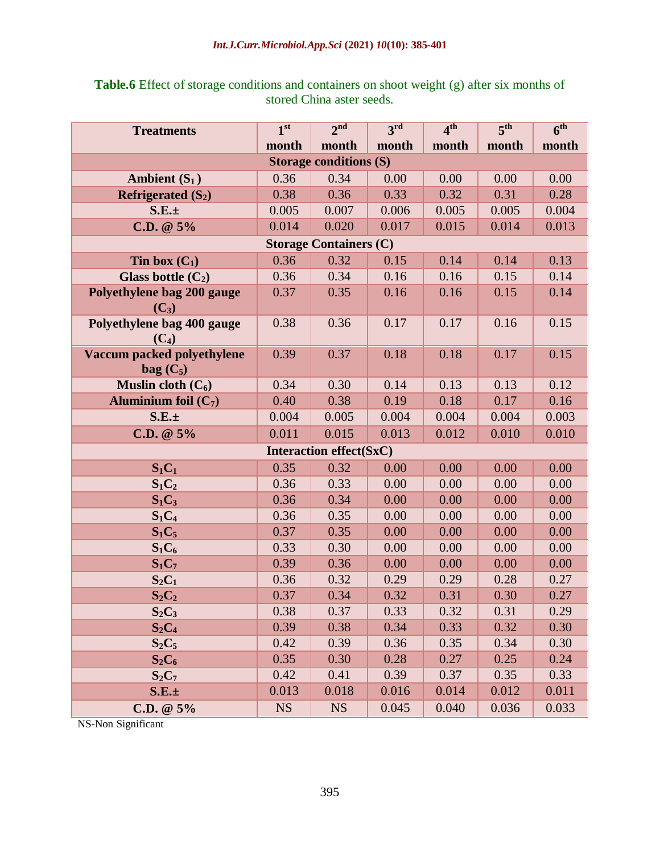#### *Int.J.Curr.Microbiol.App.Sci* **(2021)** *10***(10): 385-401**

| <b>Treatments</b>                 | 1 <sup>st</sup> | 2 <sup>nd</sup>                | 3 <sup>rd</sup> | 4 <sup>th</sup> | 5 <sup>th</sup> | 6 <sup>th</sup> |  |  |  |
|-----------------------------------|-----------------|--------------------------------|-----------------|-----------------|-----------------|-----------------|--|--|--|
|                                   | month           | month                          | month           | month           | month           | month           |  |  |  |
|                                   |                 | <b>Storage conditions (S)</b>  |                 |                 |                 |                 |  |  |  |
| Ambient $(S_1)$                   | 0.36            | 0.34                           | 0.00            | 0.00            | 0.00            | 0.00            |  |  |  |
| Refrigerated $(S_2)$              | 0.38            | 0.36                           | 0.33            | 0.32            | 0.31            | 0.28            |  |  |  |
| $S.E. \pm$                        | 0.005           | 0.007                          | 0.006           | 0.005           | 0.005           | 0.004           |  |  |  |
| C.D. $@5\%$                       | 0.014           | 0.020                          | 0.017           | 0.015           | 0.014           | 0.013           |  |  |  |
| <b>Storage Containers (C)</b>     |                 |                                |                 |                 |                 |                 |  |  |  |
| Tin box $(C_1)$                   | 0.36            | 0.32                           | 0.15            | 0.14            | 0.14            | 0.13            |  |  |  |
| Glass bottle $(C_2)$              | 0.36            | 0.34                           | 0.16            | 0.16            | 0.15            | 0.14            |  |  |  |
| Polyethylene bag 200 gauge        | 0.37            | 0.35                           | 0.16            | 0.16            | 0.15            | 0.14            |  |  |  |
| $(C_3)$                           |                 |                                |                 |                 |                 |                 |  |  |  |
| Polyethylene bag 400 gauge        | 0.38            | 0.36                           | 0.17            | 0.17            | 0.16            | 0.15            |  |  |  |
| $(C_4)$                           |                 |                                |                 |                 |                 |                 |  |  |  |
| <b>Vaccum packed polyethylene</b> | 0.39            | 0.37                           | 0.18            | 0.18            | 0.17            | 0.15            |  |  |  |
| $bag (C_5)$                       |                 |                                |                 |                 |                 |                 |  |  |  |
| Muslin cloth $(C_6)$              | 0.34            | 0.30                           | 0.14            | 0.13            | 0.13            | 0.12            |  |  |  |
| Aluminium foil $(C_7)$            | 0.40            | 0.38                           | 0.19            | 0.18            | 0.17            | 0.16            |  |  |  |
| $S.E. \pm$                        | 0.004           | 0.005                          | 0.004           | 0.004           | 0.004           | 0.003           |  |  |  |
| C.D. $@5\%$                       | 0.011           | 0.015                          | 0.013           | 0.012           | 0.010           | 0.010           |  |  |  |
|                                   |                 | <b>Interaction effect(SxC)</b> |                 |                 |                 |                 |  |  |  |
| $S_1C_1$                          | 0.35            | 0.32                           | 0.00            | 0.00            | 0.00            | 0.00            |  |  |  |
| $S_1C_2$                          | 0.36            | 0.33                           | 0.00            | 0.00            | 0.00            | 0.00            |  |  |  |
| $S_1C_3$                          | 0.36            | 0.34                           | 0.00            | 0.00            | 0.00            | 0.00            |  |  |  |
| $S_1C_4$                          | 0.36            | 0.35                           | 0.00            | 0.00            | 0.00            | 0.00            |  |  |  |
| $S_1C_5$                          | 0.37            | 0.35                           | 0.00            | 0.00            | 0.00            | 0.00            |  |  |  |
| $S_1C_6$                          | 0.33            | 0.30                           | 0.00            | 0.00            | 0.00            | 0.00            |  |  |  |
| $S_1C_7$                          | 0.39            | 0.36                           | 0.00            | 0.00            | 0.00            | 0.00            |  |  |  |
| $S_2C_1$                          | 0.36            | 0.32                           | 0.29            | 0.29            | 0.28            | 0.27            |  |  |  |
| $S_2C_2$                          | 0.37            | 0.34                           | 0.32            | 0.31            | 0.30            | 0.27            |  |  |  |
| $S_2C_3$                          | 0.38            | 0.37                           | 0.33            | 0.32            | 0.31            | 0.29            |  |  |  |
| $S_2C_4$                          | 0.39            | 0.38                           | 0.34            | 0.33            | 0.32            | 0.30            |  |  |  |
| $S_2C_5$                          | 0.42            | 0.39                           | 0.36            | 0.35            | 0.34            | 0.30            |  |  |  |
| $S_2C_6$                          | 0.35            | 0.30                           | 0.28            | 0.27            | 0.25            | 0.24            |  |  |  |
| $S_2C_7$                          | 0.42            | 0.41                           | 0.39            | 0.37            | 0.35            | 0.33            |  |  |  |
| S.E.±                             | 0.013           | 0.018                          | 0.016           | 0.014           | 0.012           | 0.011           |  |  |  |
| C.D. $@5\%$                       | <b>NS</b>       | <b>NS</b>                      | 0.045           | 0.040           | 0.036           | 0.033           |  |  |  |

## **Table.6** Effect of storage conditions and containers on shoot weight (g) after six months of stored China aster seeds.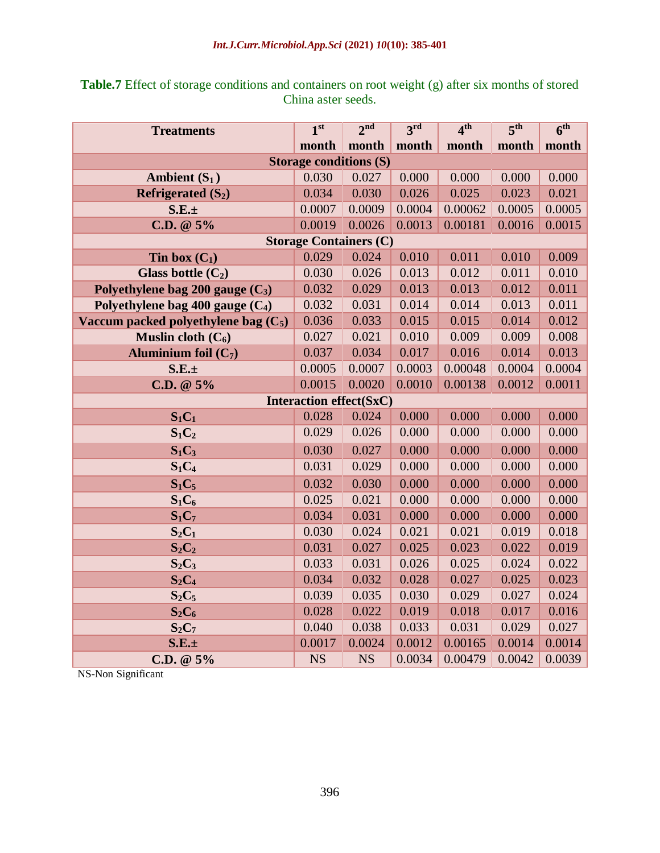| <b>Treatments</b>                      | 1 <sup>st</sup>                | 2 <sup>nd</sup> | 3 <sup>rd</sup> | 4 <sup>th</sup> | 5 <sup>th</sup> | 6 <sup>th</sup> |
|----------------------------------------|--------------------------------|-----------------|-----------------|-----------------|-----------------|-----------------|
|                                        | month                          | month           | month           | month           | month           | month           |
|                                        | <b>Storage conditions (S)</b>  |                 |                 |                 |                 |                 |
| Ambient $(S_1)$                        | 0.030                          | 0.027           | 0.000           | 0.000           | 0.000           | 0.000           |
| Refrigerated $(S_2)$                   | 0.034                          | 0.030           | 0.026           | 0.025           | 0.023           | 0.021           |
| S.E.±                                  | 0.0007                         | 0.0009          | 0.0004          | 0.00062         | 0.0005          | 0.0005          |
| $C.D. @ 5\%$                           | 0.0019                         | 0.0026          | 0.0013          | 0.00181         | 0.0016          | 0.0015          |
|                                        | <b>Storage Containers (C)</b>  |                 |                 |                 |                 |                 |
| Tin box $(C_1)$                        | 0.029                          | 0.024           | 0.010           | 0.011           | 0.010           | 0.009           |
| Glass bottle $(C_2)$                   | 0.030                          | 0.026           | 0.013           | 0.012           | 0.011           | 0.010           |
| Polyethylene bag $200$ gauge $(C_3)$   | 0.032                          | 0.029           | 0.013           | 0.013           | 0.012           | 0.011           |
| Polyethylene bag 400 gauge $(C_4)$     | 0.032                          | 0.031           | 0.014           | 0.014           | 0.013           | 0.011           |
| Vaccum packed polyethylene bag $(C_5)$ | 0.036                          | 0.033           | 0.015           | 0.015           | 0.014           | 0.012           |
| Muslin cloth $(C_6)$                   | 0.027                          | 0.021           | 0.010           | 0.009           | 0.009           | 0.008           |
| Aluminium foil $(C_7)$                 | 0.037                          | 0.034           | 0.017           | 0.016           | 0.014           | 0.013           |
| S.E.±                                  | 0.0005                         | 0.0007          | 0.0003          | 0.00048         | 0.0004          | 0.0004          |
| C.D. $@5\%$                            | 0.0015                         | 0.0020          | 0.0010          | 0.00138         | 0.0012          | 0.0011          |
|                                        | <b>Interaction effect(SxC)</b> |                 |                 |                 |                 |                 |
| $S_1C_1$                               | 0.028                          | 0.024           | 0.000           | 0.000           | 0.000           | 0.000           |
| $S_1C_2$                               | 0.029                          | 0.026           | 0.000           | 0.000           | 0.000           | 0.000           |
| $S_1C_3$                               | 0.030                          | 0.027           | 0.000           | 0.000           | 0.000           | 0.000           |
| $S_1C_4$                               | 0.031                          | 0.029           | 0.000           | 0.000           | 0.000           | 0.000           |
| $S_1C_5$                               | 0.032                          | 0.030           | 0.000           | 0.000           | 0.000           | 0.000           |
| $S_1C_6$                               | 0.025                          | 0.021           | 0.000           | 0.000           | 0.000           | 0.000           |
| $S_1C_7$                               | 0.034                          | 0.031           | 0.000           | 0.000           | 0.000           | 0.000           |
| $S_2C_1$                               | 0.030                          | 0.024           | 0.021           | 0.021           | 0.019           | 0.018           |
| $S_2C_2$                               | 0.031                          | 0.027           | 0.025           | 0.023           | 0.022           | 0.019           |
| $S_2C_3$                               | 0.033                          | 0.031           | 0.026           | 0.025           | 0.024           | 0.022           |
| $S_2C_4$                               | 0.034                          | 0.032           | 0.028           | 0.027           | 0.025           | 0.023           |
| $S_2C_5$                               | 0.039                          | 0.035           | 0.030           | 0.029           | 0.027           | 0.024           |
| $S_2C_6$                               | 0.028                          | 0.022           | 0.019           | 0.018           | 0.017           | 0.016           |
| $S_2C_7$                               | 0.040                          | 0.038           | 0.033           | 0.031           | 0.029           | 0.027           |
| $S.E. \pm$                             | 0.0017                         | 0.0024          | 0.0012          | 0.00165         | 0.0014          | 0.0014          |
| $C.D. @ 5\%$                           | <b>NS</b>                      | <b>NS</b>       | 0.0034          | 0.00479         | 0.0042          | 0.0039          |

**Table.7** Effect of storage conditions and containers on root weight (g) after six months of stored China aster seeds.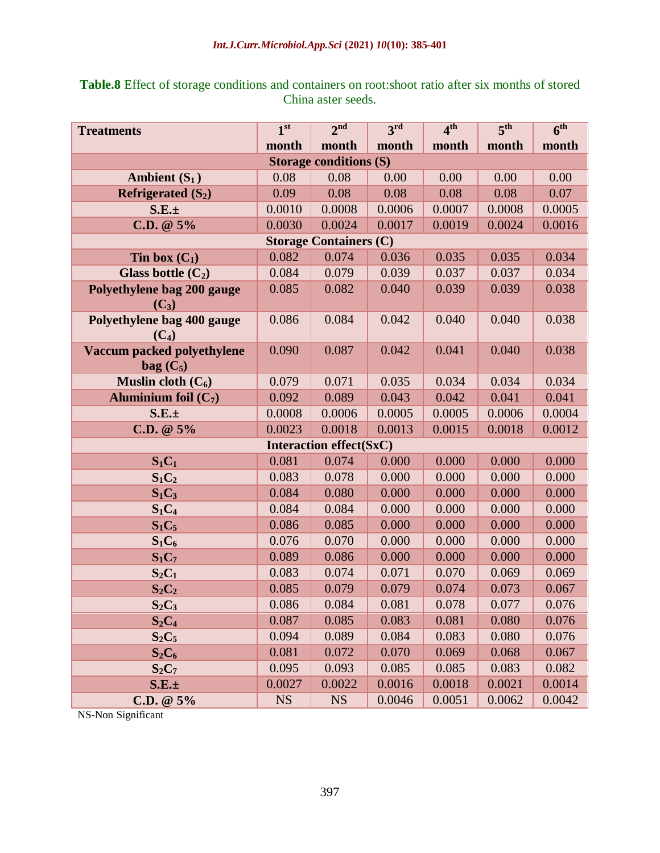| <b>Treatments</b>                                | 1 <sup>st</sup> | 2 <sup>nd</sup>                | 3 <sup>rd</sup> | 4 <sup>th</sup> | 5 <sup>th</sup> | 6 <sup>th</sup> |  |  |  |
|--------------------------------------------------|-----------------|--------------------------------|-----------------|-----------------|-----------------|-----------------|--|--|--|
|                                                  | month           | month                          | month           | month           | month           | month           |  |  |  |
|                                                  |                 | <b>Storage conditions (S)</b>  |                 |                 |                 |                 |  |  |  |
| Ambient $(S_1)$                                  | 0.08            | 0.08                           | 0.00            | 0.00            | 0.00            | 0.00            |  |  |  |
| Refrigerated $(S_2)$                             | 0.09            | 0.08                           | 0.08            | 0.08            | 0.08            | 0.07            |  |  |  |
| $S.E. \pm$                                       | 0.0010          | 0.0008                         | 0.0006          | 0.0007          | 0.0008          | 0.0005          |  |  |  |
| C.D. $@5\%$                                      | 0.0030          | 0.0024                         | 0.0017          | 0.0019          | 0.0024          | 0.0016          |  |  |  |
| <b>Storage Containers (C)</b>                    |                 |                                |                 |                 |                 |                 |  |  |  |
| Tin box $(C_1)$                                  | 0.082           | 0.074                          | 0.036           | 0.035           | 0.035           | 0.034           |  |  |  |
| Glass bottle $(C_2)$                             | 0.084           | 0.079                          | 0.039           | 0.037           | 0.037           | 0.034           |  |  |  |
| Polyethylene bag 200 gauge<br>$(C_3)$            | 0.085           | 0.082                          | 0.040           | 0.039           | 0.039           | 0.038           |  |  |  |
| Polyethylene bag 400 gauge<br>$(C_4)$            | 0.086           | 0.084                          | 0.042           | 0.040           | 0.040           | 0.038           |  |  |  |
| <b>Vaccum packed polyethylene</b><br>$bag (C_5)$ | 0.090           | 0.087                          | 0.042           | 0.041           | 0.040           | 0.038           |  |  |  |
| Muslin cloth $(C_6)$                             | 0.079           | 0.071                          | 0.035           | 0.034           | 0.034           | 0.034           |  |  |  |
| Aluminium foil $(C_7)$                           | 0.092           | 0.089                          | 0.043           | 0.042           | 0.041           | 0.041           |  |  |  |
| $S.E. \pm$                                       | 0.0008          | 0.0006                         | 0.0005          | 0.0005          | 0.0006          | 0.0004          |  |  |  |
| $C.D. @ 5\%$                                     | 0.0023          | 0.0018                         | 0.0013          | 0.0015          | 0.0018          | 0.0012          |  |  |  |
|                                                  |                 | <b>Interaction effect(SxC)</b> |                 |                 |                 |                 |  |  |  |
| $S_1C_1$                                         | 0.081           | 0.074                          | 0.000           | 0.000           | 0.000           | 0.000           |  |  |  |
| $S_1C_2$                                         | 0.083           | 0.078                          | 0.000           | 0.000           | 0.000           | 0.000           |  |  |  |
| $S_1C_3$                                         | 0.084           | 0.080                          | 0.000           | 0.000           | 0.000           | 0.000           |  |  |  |
| $S_1C_4$                                         | 0.084           | 0.084                          | 0.000           | 0.000           | 0.000           | 0.000           |  |  |  |
| $S_1C_5$                                         | 0.086           | 0.085                          | 0.000           | 0.000           | 0.000           | 0.000           |  |  |  |
| $S_1C_6$                                         | 0.076           | 0.070                          | 0.000           | 0.000           | 0.000           | 0.000           |  |  |  |
| $S_1C_7$                                         | 0.089           | 0.086                          | 0.000           | 0.000           | 0.000           | 0.000           |  |  |  |
| $S_2C_1$                                         | 0.083           | 0.074                          | 0.071           | 0.070           | 0.069           | 0.069           |  |  |  |
| $S_2C_2$                                         | 0.085           | 0.079                          | 0.079           | 0.074           | 0.073           | 0.067           |  |  |  |
| $S_2C_3$                                         | 0.086           | 0.084                          | 0.081           | 0.078           | 0.077           | 0.076           |  |  |  |
| $S_2C_4$                                         | 0.087           | 0.085                          | 0.083           | 0.081           | 0.080           | 0.076           |  |  |  |
| $S_2C_5$                                         | 0.094           | 0.089                          | 0.084           | 0.083           | 0.080           | 0.076           |  |  |  |
| $S_2C_6$                                         | 0.081           | 0.072                          | 0.070           | 0.069           | 0.068           | 0.067           |  |  |  |
| $S_2C_7$                                         | 0.095           | 0.093                          | 0.085           | 0.085           | 0.083           | 0.082           |  |  |  |
| $S.E. \pm$                                       | 0.0027          | 0.0022                         | 0.0016          | 0.0018          | 0.0021          | 0.0014          |  |  |  |
| $C.D. @ 5\%$                                     | <b>NS</b>       | <b>NS</b>                      | 0.0046          | 0.0051          | 0.0062          | 0.0042          |  |  |  |

**Table.8** Effect of storage conditions and containers on root:shoot ratio after six months of stored China aster seeds.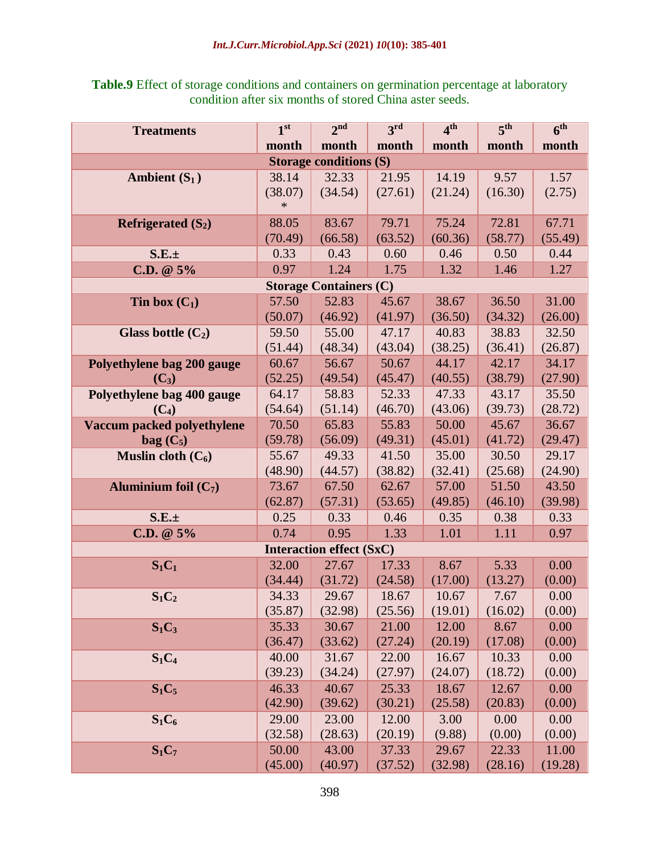| <b>Table.9</b> Effect of storage conditions and containers on germination percentage at laboratory |  |
|----------------------------------------------------------------------------------------------------|--|
| condition after six months of stored China aster seeds.                                            |  |

| <b>Treatments</b>             | 1 <sup>st</sup> | 2 <sup>nd</sup>                 | 3 <sup>rd</sup> | 4 <sup>th</sup> | 5 <sup>th</sup> | 6 <sup>th</sup> |  |  |  |  |
|-------------------------------|-----------------|---------------------------------|-----------------|-----------------|-----------------|-----------------|--|--|--|--|
|                               | month           | month                           | month           | month           | month           | month           |  |  |  |  |
| <b>Storage conditions (S)</b> |                 |                                 |                 |                 |                 |                 |  |  |  |  |
| Ambient $(S_1)$               | 38.14           | 32.33                           | 21.95           | 14.19           | 9.57            | 1.57            |  |  |  |  |
|                               | (38.07)         | (34.54)                         | (27.61)         | (21.24)         | (16.30)         | (2.75)          |  |  |  |  |
|                               | $\ast$          |                                 |                 |                 |                 |                 |  |  |  |  |
| Refrigerated $(S_2)$          | 88.05           | 83.67                           | 79.71           | 75.24           | 72.81           | 67.71           |  |  |  |  |
|                               | (70.49)         | (66.58)                         | (63.52)         | (60.36)         | (58.77)         | (55.49)         |  |  |  |  |
| $S.E. \pm$                    | 0.33            | 0.43                            | 0.60            | 0.46            | 0.50            | 0.44            |  |  |  |  |
| C.D. $@5\%$                   | 0.97            | 1.24                            | 1.75            | 1.32            | 1.46            | 1.27            |  |  |  |  |
|                               |                 | <b>Storage Containers (C)</b>   |                 |                 |                 |                 |  |  |  |  |
| Tin box $(C_1)$               | 57.50           | 52.83                           | 45.67           | 38.67           | 36.50           | 31.00           |  |  |  |  |
|                               | (50.07)         | (46.92)                         | (41.97)         | (36.50)         | (34.32)         | (26.00)         |  |  |  |  |
| Glass bottle $(C_2)$          | 59.50           | 55.00                           | 47.17           | 40.83           | 38.83           | 32.50           |  |  |  |  |
|                               | (51.44)         | (48.34)                         | (43.04)         | (38.25)         | (36.41)         | (26.87)         |  |  |  |  |
| Polyethylene bag 200 gauge    | 60.67           | 56.67                           | 50.67           | 44.17           | 42.17           | 34.17           |  |  |  |  |
| $(C_3)$                       | (52.25)         | (49.54)                         | (45.47)         | (40.55)         | (38.79)         | (27.90)         |  |  |  |  |
| Polyethylene bag 400 gauge    | 64.17           | 58.83                           | 52.33           | 47.33           | 43.17           | 35.50           |  |  |  |  |
| $(C_4)$                       | (54.64)         | (51.14)                         | (46.70)         | (43.06)         | (39.73)         | (28.72)         |  |  |  |  |
| Vaccum packed polyethylene    | 70.50           | 65.83                           | 55.83           | 50.00           | 45.67           | 36.67           |  |  |  |  |
| $bag (C_5)$                   | (59.78)         | (56.09)                         | (49.31)         | (45.01)         | (41.72)         | (29.47)         |  |  |  |  |
| Muslin cloth $(C_6)$          | 55.67           | 49.33                           | 41.50           | 35.00           | 30.50           | 29.17           |  |  |  |  |
|                               | (48.90)         | (44.57)                         | (38.82)         | (32.41)         | (25.68)         | (24.90)         |  |  |  |  |
| Aluminium foil $(C_7)$        | 73.67           | 67.50                           | 62.67           | 57.00           | 51.50           | 43.50           |  |  |  |  |
|                               | (62.87)         | (57.31)                         | (53.65)         | (49.85)         | (46.10)         | (39.98)         |  |  |  |  |
| $S.E. \pm$                    | 0.25            | 0.33                            | 0.46            | 0.35            | 0.38            | 0.33            |  |  |  |  |
| $C.D. @ 5\%$                  | 0.74            | 0.95                            | 1.33            | 1.01            | 1.11            | 0.97            |  |  |  |  |
|                               |                 | <b>Interaction effect (SxC)</b> |                 |                 |                 |                 |  |  |  |  |
| $S_1C_1$                      | 32.00           | 27.67                           | 17.33           | 8.67            | 5.33            | 0.00            |  |  |  |  |
|                               | (34.44)         | (31.72)                         | (24.58)         | (17.00)         | (13.27)         | (0.00)          |  |  |  |  |
| $S_1C_2$                      | 34.33           | 29.67                           | 18.67           | 10.67           | 7.67            | 0.00            |  |  |  |  |
|                               | (35.87)         | (32.98)                         | (25.56)         | (19.01)         | (16.02)         | (0.00)          |  |  |  |  |
| $S_1C_3$                      | 35.33           | 30.67                           | 21.00           | 12.00           | 8.67            | 0.00            |  |  |  |  |
|                               | (36.47)         | (33.62)                         | (27.24)         | (20.19)         | (17.08)         | (0.00)          |  |  |  |  |
| $S_1C_4$                      | 40.00           | 31.67                           | 22.00           | 16.67           | 10.33           | 0.00            |  |  |  |  |
|                               | (39.23)         | (34.24)                         | (27.97)         | (24.07)         | (18.72)         | (0.00)          |  |  |  |  |
| $S_1C_5$                      | 46.33           | 40.67                           | 25.33           | 18.67           | 12.67           | 0.00            |  |  |  |  |
|                               | (42.90)         | (39.62)                         | (30.21)         | (25.58)         | (20.83)         | (0.00)          |  |  |  |  |
| $S_1C_6$                      | 29.00           | 23.00                           | 12.00           | 3.00            | 0.00            | 0.00            |  |  |  |  |
|                               | (32.58)         | (28.63)                         | (20.19)         | (9.88)          | (0.00)          | (0.00)          |  |  |  |  |
| $S_1C_7$                      | 50.00           | 43.00                           | 37.33           | 29.67           | 22.33           | 11.00           |  |  |  |  |
|                               | (45.00)         | (40.97)                         | (37.52)         | (32.98)         | (28.16)         | (19.28)         |  |  |  |  |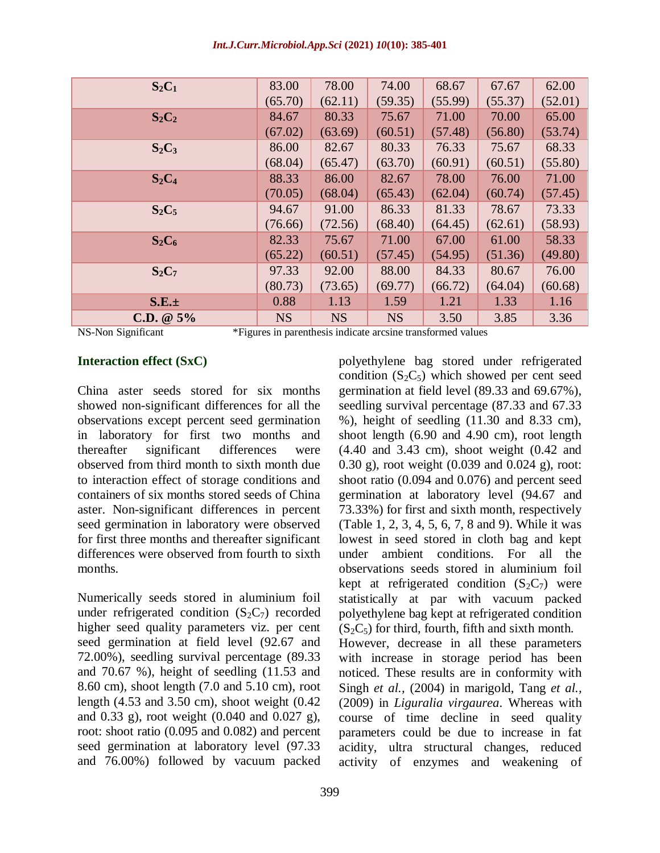| Int.J.Curr.Microbiol.App.Sci (2021) 10(10): 385-401 |  |  |  |
|-----------------------------------------------------|--|--|--|
|-----------------------------------------------------|--|--|--|

| 83.00     | 78.00     | 74.00     | 68.67   | 67.67   | 62.00   |
|-----------|-----------|-----------|---------|---------|---------|
| (65.70)   | (62.11)   | (59.35)   | (55.99) | (55.37) | (52.01) |
| 84.67     | 80.33     | 75.67     | 71.00   | 70.00   | 65.00   |
| (67.02)   | (63.69)   | (60.51)   | (57.48) | (56.80) | (53.74) |
| 86.00     | 82.67     | 80.33     | 76.33   | 75.67   | 68.33   |
| (68.04)   | (65.47)   | (63.70)   | (60.91) | (60.51) | (55.80) |
| 88.33     | 86.00     | 82.67     | 78.00   | 76.00   | 71.00   |
| (70.05)   | (68.04)   | (65.43)   | (62.04) | (60.74) | (57.45) |
| 94.67     | 91.00     | 86.33     | 81.33   | 78.67   | 73.33   |
| (76.66)   | (72.56)   | (68.40)   | (64.45) | (62.61) | (58.93) |
| 82.33     | 75.67     | 71.00     | 67.00   | 61.00   | 58.33   |
| (65.22)   | (60.51)   | (57.45)   | (54.95) | (51.36) | (49.80) |
| 97.33     | 92.00     | 88.00     | 84.33   | 80.67   | 76.00   |
| (80.73)   | (73.65)   | (69.77)   | (66.72) | (64.04) | (60.68) |
| 0.88      | 1.13      | 1.59      | 1.21    | 1.33    | 1.16    |
| <b>NS</b> | <b>NS</b> | <b>NS</b> | 3.50    | 3.85    | 3.36    |
|           |           |           |         |         |         |

NS-Non Significant \*Figures in parenthesis indicate arcsine transformed values

#### **Interaction effect (SxC)**

China aster seeds stored for six months showed non-significant differences for all the observations except percent seed germination in laboratory for first two months and thereafter significant differences were observed from third month to sixth month due to interaction effect of storage conditions and containers of six months stored seeds of China aster. Non-significant differences in percent seed germination in laboratory were observed for first three months and thereafter significant differences were observed from fourth to sixth months.

Numerically seeds stored in aluminium foil under refrigerated condition  $(S_2C_7)$  recorded higher seed quality parameters viz. per cent seed germination at field level (92.67 and 72.00%), seedling survival percentage (89.33 and 70.67 %), height of seedling (11.53 and 8.60 cm), shoot length (7.0 and 5.10 cm), root length (4.53 and 3.50 cm), shoot weight (0.42 and 0.33 g), root weight (0.040 and 0.027 g), root: shoot ratio (0.095 and 0.082) and percent seed germination at laboratory level (97.33 and 76.00%) followed by vacuum packed

polyethylene bag stored under refrigerated condition  $(S_2C_5)$  which showed per cent seed germination at field level (89.33 and 69.67%), seedling survival percentage (87.33 and 67.33 %), height of seedling (11.30 and 8.33 cm), shoot length (6.90 and 4.90 cm), root length (4.40 and 3.43 cm), shoot weight (0.42 and 0.30 g), root weight (0.039 and 0.024 g), root: shoot ratio (0.094 and 0.076) and percent seed germination at laboratory level (94.67 and 73.33%) for first and sixth month, respectively (Table 1, 2, 3, 4, 5, 6, 7, 8 and 9). While it was lowest in seed stored in cloth bag and kept under ambient conditions. For all the observations seeds stored in aluminium foil kept at refrigerated condition  $(S_2C_7)$  were statistically at par with vacuum packed polyethylene bag kept at refrigerated condition  $(S_2C_5)$  for third, fourth, fifth and sixth month. However, decrease in all these parameters with increase in storage period has been

noticed. These results are in conformity with Singh *et al.,* (2004) in marigold, Tang *et al.,* (2009) in *Liguralia virgaurea*. Whereas with course of time decline in seed quality parameters could be due to increase in fat acidity, ultra structural changes, reduced activity of enzymes and weakening of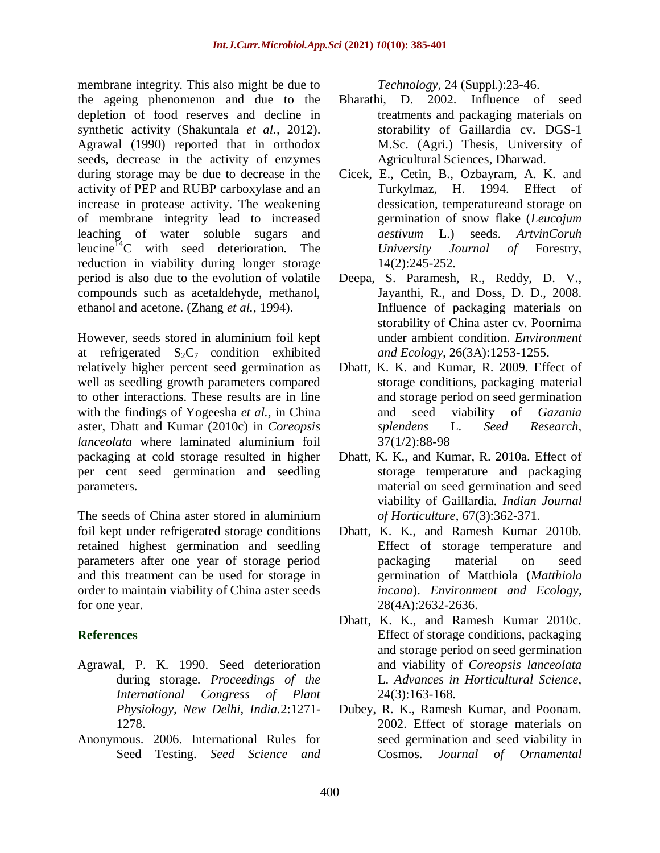membrane integrity. This also might be due to the ageing phenomenon and due to the depletion of food reserves and decline in synthetic activity (Shakuntala *et al.,* 2012). Agrawal (1990) reported that in orthodox seeds, decrease in the activity of enzymes during storage may be due to decrease in the activity of PEP and RUBP carboxylase and an increase in protease activity. The weakening of membrane integrity lead to increased leaching of water soluble sugars and leucine<sup>14</sup>C with seed deterioration. The reduction in viability during longer storage period is also due to the evolution of volatile compounds such as acetaldehyde, methanol, ethanol and acetone. (Zhang *et al.,* 1994).

However, seeds stored in aluminium foil kept at refrigerated  $S_2C_7$  condition exhibited relatively higher percent seed germination as well as seedling growth parameters compared to other interactions. These results are in line with the findings of Yogeesha *et al.,* in China aster, Dhatt and Kumar (2010c) in *Coreopsis lanceolata* where laminated aluminium foil packaging at cold storage resulted in higher per cent seed germination and seedling parameters.

The seeds of China aster stored in aluminium foil kept under refrigerated storage conditions retained highest germination and seedling parameters after one year of storage period and this treatment can be used for storage in order to maintain viability of China aster seeds for one year.

### **References**

- Agrawal, P. K. 1990. Seed deterioration during storage. *Proceedings of the International Congress of Plant Physiology, New Delhi, India.*2:1271- 1278.
- Anonymous. 2006. International Rules for Seed Testing. *Seed Science and*

*Technology,* 24 (Suppl.):23-46.

- Bharathi, D. 2002. Influence of seed treatments and packaging materials on storability of Gaillardia cv. DGS-1 M.Sc. (Agri.) Thesis, University of Agricultural Sciences, Dharwad.
- Cicek, E., Cetin, B., Ozbayram, A. K. and Turkylmaz, H. 1994. Effect of dessication, temperatureand storage on germination of snow flake (*Leucojum aestivum* L.) seeds. *ArtvinCoruh University Journal of* Forestry, 14(2):245-252.
- Deepa, S. Paramesh, R., Reddy, D. V., Jayanthi, R., and Doss, D. D., 2008. Influence of packaging materials on storability of China aster cv. Poornima under ambient condition. *Environment and Ecology*, 26(3A):1253-1255.
- Dhatt, K. K. and Kumar, R. 2009. Effect of storage conditions, packaging material and storage period on seed germination and seed viability of *Gazania splendens* L. *Seed Research*, 37(1/2):88-98
- Dhatt, K. K., and Kumar, R. 2010a. Effect of storage temperature and packaging material on seed germination and seed viability of Gaillardia. *Indian Journal of Horticulture*, 67(3):362-371.
- Dhatt, K. K., and Ramesh Kumar 2010b. Effect of storage temperature and packaging material on seed germination of Matthiola (*Matthiola incana*). *Environment and Ecology*, 28(4A):2632-2636.
- Dhatt, K. K., and Ramesh Kumar 2010c. Effect of storage conditions, packaging and storage period on seed germination and viability of *Coreopsis lanceolata* L. *Advances in Horticultural Science*, 24(3):163-168.
- Dubey, R. K., Ramesh Kumar, and Poonam. 2002. Effect of storage materials on seed germination and seed viability in Cosmos. *Journal of Ornamental*